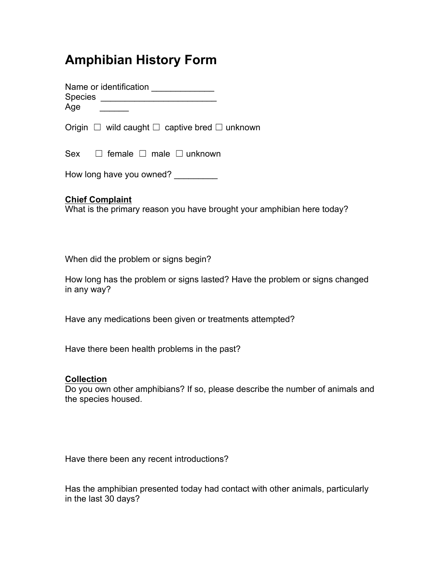# **Amphibian History Form**

Name or identification Species \_\_\_\_\_\_\_\_\_\_\_\_\_\_\_\_\_\_\_\_\_\_\_\_ Age

Origin  $\Box$  wild caught  $\Box$  captive bred  $\Box$  unknown

Sex □ female □ male □ unknown

How long have you owned?

## **Chief Complaint**

What is the primary reason you have brought your amphibian here today?

When did the problem or signs begin?

How long has the problem or signs lasted? Have the problem or signs changed in any way?

Have any medications been given or treatments attempted?

Have there been health problems in the past?

### **Collection**

Do you own other amphibians? If so, please describe the number of animals and the species housed.

Have there been any recent introductions?

Has the amphibian presented today had contact with other animals, particularly in the last 30 days?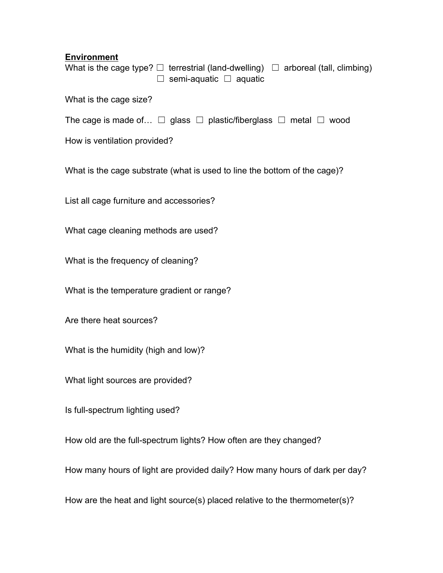#### **Environment**

What is the cage type?  $\Box$  terrestrial (land-dwelling)  $\Box$  arboreal (tall, climbing) ☐ semi-aquatic ☐ aquatic

What is the cage size?

The cage is made of...  $\Box$  glass  $\Box$  plastic/fiberglass  $\Box$  metal  $\Box$  wood

How is ventilation provided?

What is the cage substrate (what is used to line the bottom of the cage)?

List all cage furniture and accessories?

What cage cleaning methods are used?

What is the frequency of cleaning?

What is the temperature gradient or range?

Are there heat sources?

What is the humidity (high and low)?

What light sources are provided?

Is full-spectrum lighting used?

How old are the full-spectrum lights? How often are they changed?

How many hours of light are provided daily? How many hours of dark per day?

How are the heat and light source(s) placed relative to the thermometer(s)?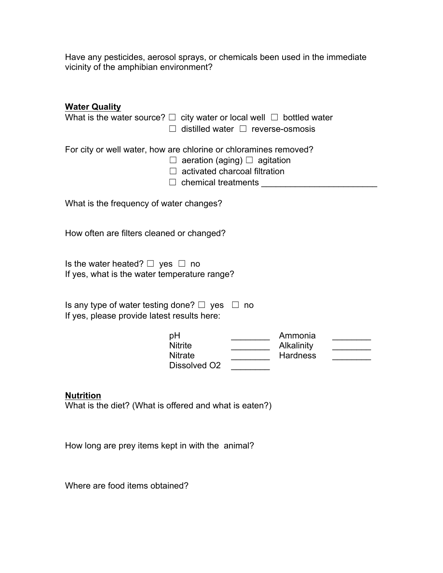Have any pesticides, aerosol sprays, or chemicals been used in the immediate vicinity of the amphibian environment?

| <b>Water Quality</b><br>What is the water source? $\Box$ city water or local well $\Box$ bottled water<br>distilled water $\Box$ reverse-osmosis<br>$\Box$                         |                                                                                                                                                                                                                                                                                                                                    |  |                                          |  |
|------------------------------------------------------------------------------------------------------------------------------------------------------------------------------------|------------------------------------------------------------------------------------------------------------------------------------------------------------------------------------------------------------------------------------------------------------------------------------------------------------------------------------|--|------------------------------------------|--|
| For city or well water, how are chlorine or chloramines removed?<br>$\Box$ aeration (aging) $\Box$ agitation<br>$\Box$ activated charcoal filtration<br>$\Box$ chemical treatments |                                                                                                                                                                                                                                                                                                                                    |  |                                          |  |
| What is the frequency of water changes?                                                                                                                                            |                                                                                                                                                                                                                                                                                                                                    |  |                                          |  |
| How often are filters cleaned or changed?                                                                                                                                          |                                                                                                                                                                                                                                                                                                                                    |  |                                          |  |
| Is the water heated? $\Box$ yes $\Box$ no<br>If yes, what is the water temperature range?                                                                                          |                                                                                                                                                                                                                                                                                                                                    |  |                                          |  |
| Is any type of water testing done? $\Box$ yes $\Box$ no<br>If yes, please provide latest results here:                                                                             |                                                                                                                                                                                                                                                                                                                                    |  |                                          |  |
|                                                                                                                                                                                    | рH<br><b>Nitrite</b><br><b>Nitrate</b><br>Dissolved O <sub>2</sub>                                                                                                                                                                                                                                                                 |  | Ammonia<br>Alkalinity<br><b>Hardness</b> |  |
| <b>Nutrition</b>                                                                                                                                                                   | $\mathbf{r}$ $\mathbf{r}$ $\mathbf{r}$ $\mathbf{r}$ $\mathbf{r}$ $\mathbf{r}$ $\mathbf{r}$ $\mathbf{r}$ $\mathbf{r}$ $\mathbf{r}$ $\mathbf{r}$ $\mathbf{r}$ $\mathbf{r}$ $\mathbf{r}$ $\mathbf{r}$ $\mathbf{r}$ $\mathbf{r}$ $\mathbf{r}$ $\mathbf{r}$ $\mathbf{r}$ $\mathbf{r}$ $\mathbf{r}$ $\mathbf{r}$ $\mathbf{r}$ $\mathbf{$ |  |                                          |  |

What is the diet? (What is offered and what is eaten?)

How long are prey items kept in with the animal?

Where are food items obtained?